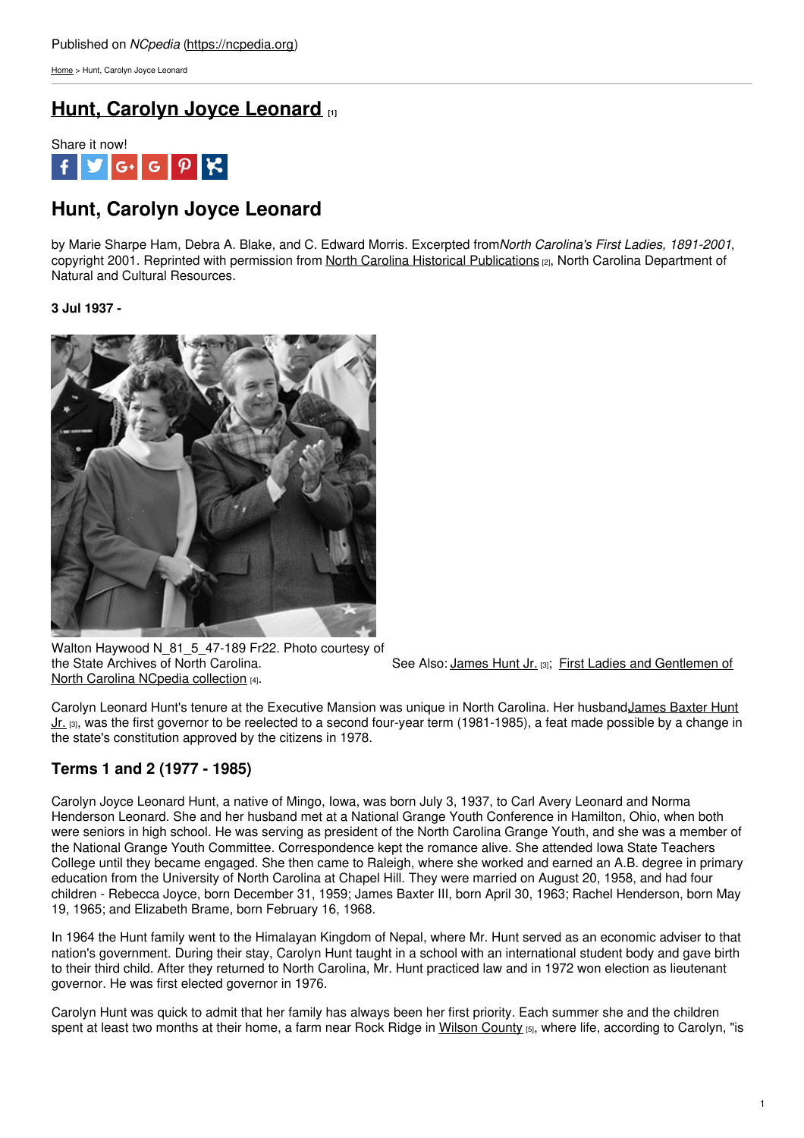[Home](https://ncpedia.org/) > Hunt, Carolyn Joyce Leonard

## **Hunt, Carolyn Joyce [Leonard](https://ncpedia.org/hunt-carolyn-joyce-leonard) [1]**



# **Hunt, Carolyn Joyce Leonard**

by Marie Sharpe Ham, Debra A. Blake, and C. Edward Morris. Excerpted from*North Carolina's First Ladies, 1891-2001*, copyright 2001. Reprinted with permission from North Carolina Historical [Publications](https://www.ncdcr.gov/about/history/historical-publications) [2], North Carolina Department of Natural and Cultural Resources.

### **3 Jul 1937 -**



Walton Haywood N\_81\_5\_47-189 Fr22. Photo courtesy of the State Archives of North Carolina. North Carolina NCpedia collection [4].

See Also: [James](https://ncpedia.org/hunt-jr-james-baxter-research) Hunt Jr. [3]; First Ladies and [Gentlemen](http://www.ncpedia.org/node/12179/) of

Carolyn Leonard Hunt's tenure at the Executive Mansion was unique in North Carolina. Her husbandJames Baxter Hunt Jr. [3], was the first governor to be reelected to a second four-year term (1981-1985), a feat made possible by a change in the state's constitution approved by the citizens in 1978.

## **Terms 1 and 2 (1977 - 1985)**

Carolyn Joyce Leonard Hunt, a native of Mingo, Iowa, was born July 3, 1937, to Carl Avery Leonard and Norma Henderson Leonard. She and her husband met at a National Grange Youth Conference in Hamilton, Ohio, when both were seniors in high school. He was serving as president of the North Carolina Grange Youth, and she was a member of the National Grange Youth Committee. Correspondence kept the romance alive. She attended Iowa State Teachers College until they became engaged. She then came to Raleigh, where she worked and earned an A.B. degree in primary education from the University of North Carolina at Chapel Hill. They were married on August 20, 1958, and had four children - Rebecca Joyce, born December 31, 1959; James Baxter III, born April 30, 1963; Rachel Henderson, born May 19, 1965; and Elizabeth Brame, born February 16, 1968.

In 1964 the Hunt family went to the Himalayan Kingdom of Nepal, where Mr. Hunt served as an economic adviser to that nation's government. During their stay, Carolyn Hunt taught in a school with an international student body and gave birth to their third child. After they returned to North Carolina, Mr. Hunt practiced law and in 1972 won election as lieutenant governor. He was first elected governor in 1976.

Carolyn Hunt was quick to admit that her family has always been her first priority. Each summer she and the children spent at least two months at their home, a farm near Rock Ridge in Wilson [County](https://ncpedia.org/geography/wilson) [5], where life, according to Carolyn, "is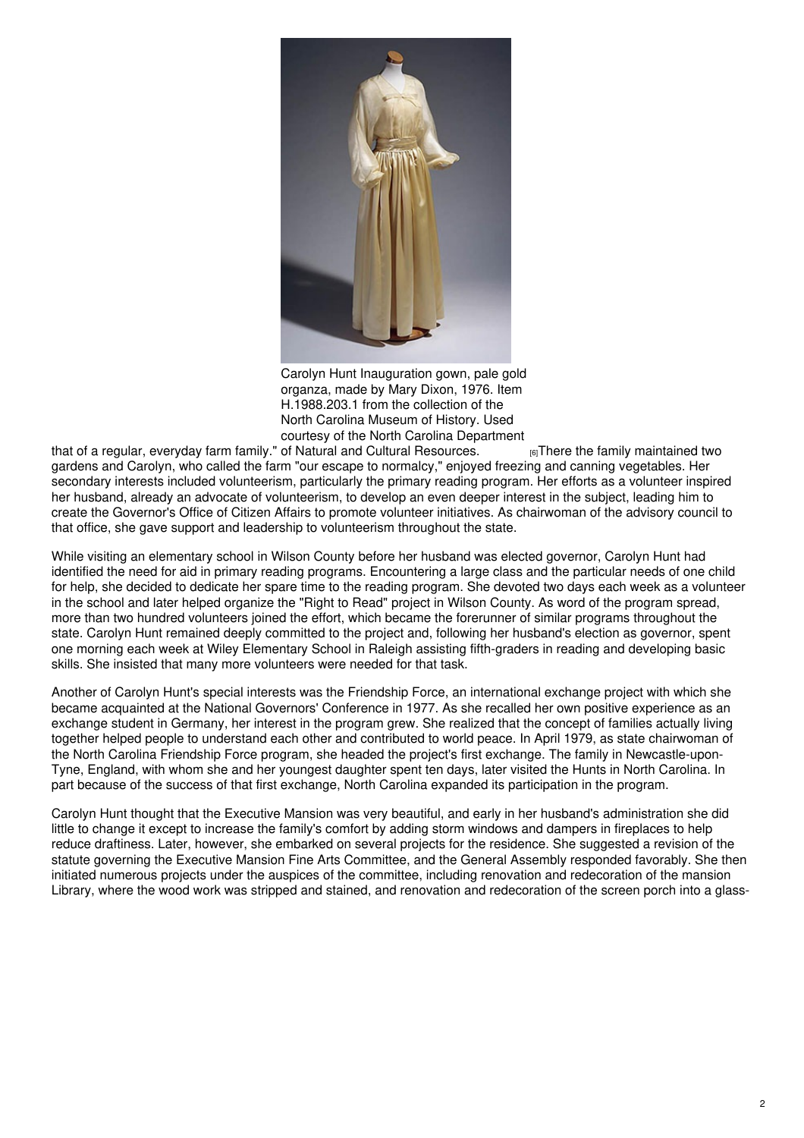

Carolyn Hunt Inauguration gown, pale gold organza, made by Mary Dixon, 1976. Item H.1988.203.1 from the collection of the North Carolina Museum of History. Used

that of a regular, everyday farm family." of Natural and Cultural [Resources.](http://collections.ncdcr.gov/RediscoveryProficioPublicSearch/ShowItem.aspx?53124+)  $\qquad \qquad \text{[6]}$ There the family maintained two courtesy of the North Carolina Department<br>of Natural and Cultural Resources.<br>  $_{[6]}$ There the family maintained two gardens and Carolyn, who called the farm "our escape to normalcy," enjoyed freezing and canning vegetables. Her secondary interests included volunteerism, particularly the primary reading program. Her efforts as a volunteer inspired her husband, already an advocate of volunteerism, to develop an even deeper interest in the subject, leading him to create the Governor's Office of Citizen Affairs to promote volunteer initiatives. As chairwoman of the advisory council to that office, she gave support and leadership to volunteerism throughout the state.

While visiting an elementary school in Wilson County before her husband was elected governor, Carolyn Hunt had identified the need for aid in primary reading programs. Encountering a large class and the particular needs of one child for help, she decided to dedicate her spare time to the reading program. She devoted two days each week as a volunteer in the school and later helped organize the "Right to Read" project in Wilson County. As word of the program spread, more than two hundred volunteers joined the effort, which became the forerunner of similar programs throughout the state. Carolyn Hunt remained deeply committed to the project and, following her husband's election as governor, spent one morning each week at Wiley Elementary School in Raleigh assisting fifth-graders in reading and developing basic skills. She insisted that many more volunteers were needed for that task.

Another of Carolyn Hunt's special interests was the Friendship Force, an international exchange project with which she became acquainted at the National Governors' Conference in 1977. As she recalled her own positive experience as an exchange student in Germany, her interest in the program grew. She realized that the concept of families actually living together helped people to understand each other and contributed to world peace. In April 1979, as state chairwoman of the North Carolina Friendship Force program, she headed the project's first exchange. The family in Newcastle-upon-Tyne, England, with whom she and her youngest daughter spent ten days, later visited the Hunts in North Carolina. In part because of the success of that first exchange, North Carolina expanded its participation in the program.

Carolyn Hunt thought that the Executive Mansion was very beautiful, and early in her husband's administration she did little to change it except to increase the family's comfort by adding storm windows and dampers in fireplaces to help reduce draftiness. Later, however, she embarked on several projects for the residence. She suggested a revision of the statute governing the Executive Mansion Fine Arts Committee, and the General Assembly responded favorably. She then initiated numerous projects under the auspices of the committee, including renovation and redecoration of the mansion Library, where the wood work was stripped and stained, and renovation and redecoration of the screen porch into a glass-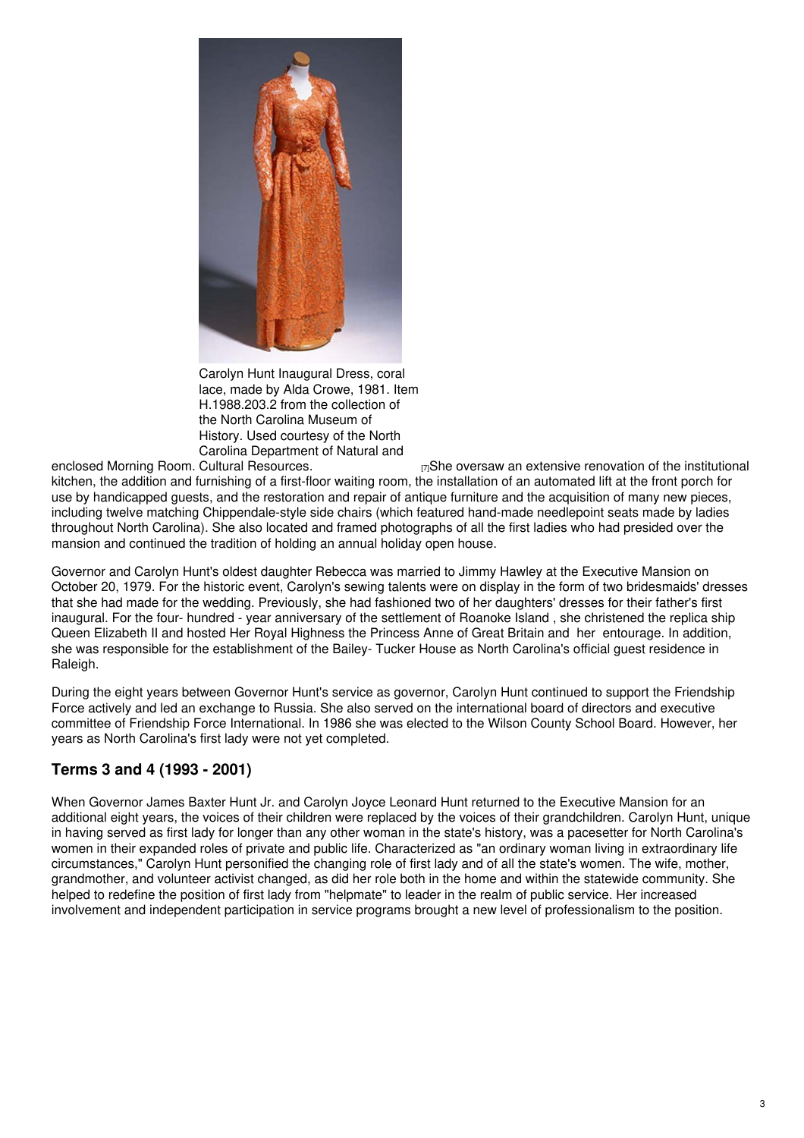

Carolyn Hunt Inaugural Dress, coral lace, made by Alda Crowe, 1981. Item H.1988.203.2 from the collection of the North Carolina Museum of History. Used courtesy of the North Carolina Department of Natural and

enclosed Morning Room.  $E_{\text{Z}}$ She oversaw an extensive renovation of the institutional kitchen, the addition and furnishing of a first-floor waiting room, the installation of an automated lift at the front porch for use by handicapped guests, and the restoration and repair of antique furniture and the acquisition of many new pieces, including twelve matching Chippendale-style side chairs (which featured hand-made needlepoint seats made by ladies throughout North Carolina). She also located and framed photographs of all the first ladies who had presided over the mansion and continued the tradition of holding an annual holiday open house.

Governor and Carolyn Hunt's oldest daughter Rebecca was married to Jimmy Hawley at the Executive Mansion on October 20, 1979. For the historic event, Carolyn's sewing talents were on display in the form of two bridesmaids' dresses that she had made for the wedding. Previously, she had fashioned two of her daughters' dresses for their father's first inaugural. For the four- hundred - year anniversary of the settlement of Roanoke Island , she christened the replica ship Queen Elizabeth II and hosted Her Royal Highness the Princess Anne of Great Britain and her entourage. In addition, she was responsible for the establishment of the Bailey- Tucker House as North Carolina's official guest residence in Raleigh.

During the eight years between Governor Hunt's service as governor, Carolyn Hunt continued to support the Friendship Force actively and led an exchange to Russia. She also served on the international board of directors and executive committee of Friendship Force International. In 1986 she was elected to the Wilson County School Board. However, her years as North Carolina's first lady were not yet completed.

## **Terms 3 and 4 (1993 - 2001)**

When Governor James Baxter Hunt Jr. and Carolyn Joyce Leonard Hunt returned to the Executive Mansion for an additional eight years, the voices of their children were replaced by the voices of their grandchildren. Carolyn Hunt, unique in having served as first lady for longer than any other woman in the state's history, was a pacesetter for North Carolina's women in their expanded roles of private and public life. Characterized as "an ordinary woman living in extraordinary life circumstances," Carolyn Hunt personified the changing role of first lady and of all the state's women. The wife, mother, grandmother, and volunteer activist changed, as did her role both in the home and within the statewide community. She helped to redefine the position of first lady from "helpmate" to leader in the realm of public service. Her increased involvement and independent participation in service programs brought a new level of professionalism to the position.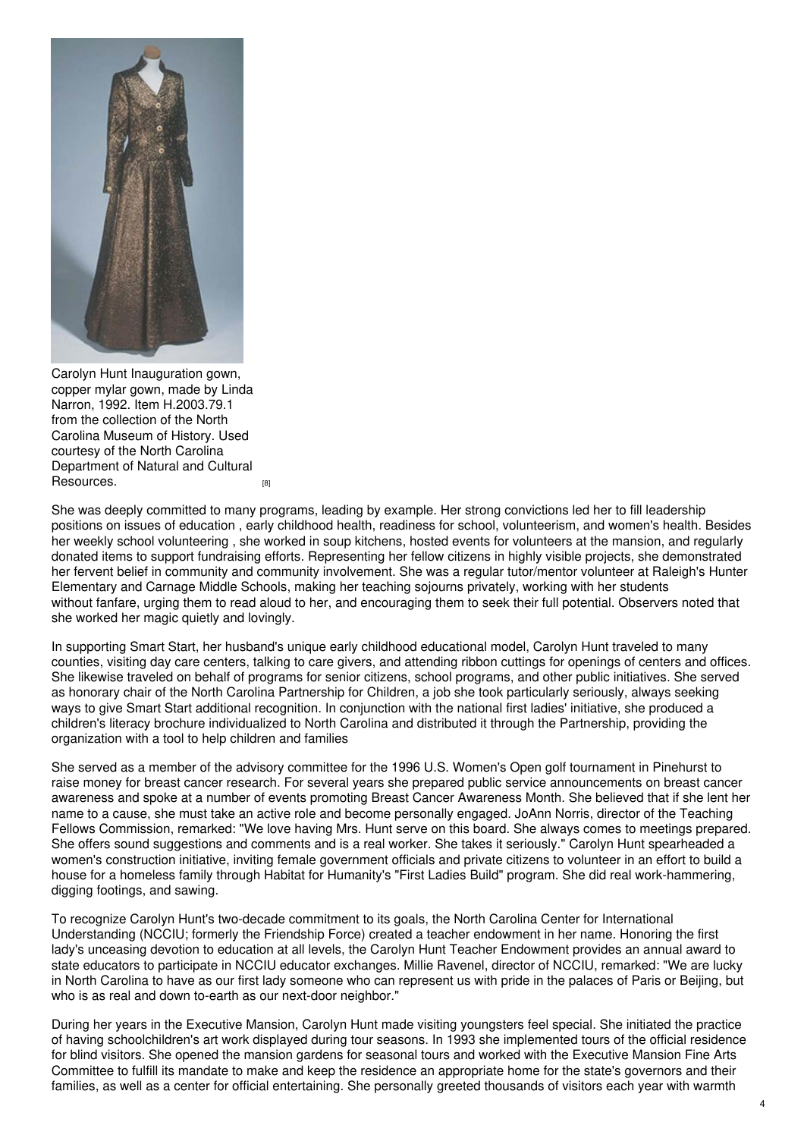

Carolyn Hunt Inauguration gown, copper mylar gown, made by Linda Narron, 1992. Item H.2003.79.1 from the collection of the North Carolina Museum of History. Used courtesy of the North Carolina Department of Natural and Cultural [Resources.](http://collections.ncdcr.gov/RediscoveryProficioPublicSearch/ShowItem.aspx?119359+)

She was deeply committed to many programs, leading by example. Her strong convictions led her to fill leadership positions on issues of education , early childhood health, readiness for school, volunteerism, and women's health. Besides her weekly school volunteering , she worked in soup kitchens, hosted events for volunteers at the mansion, and regularly donated items to support fundraising efforts. Representing her fellow citizens in highly visible projects, she demonstrated her fervent belief in community and community involvement. She was a regular tutor/mentor volunteer at Raleigh's Hunter Elementary and Carnage Middle Schools, making her teaching sojourns privately, working with her students without fanfare, urging them to read aloud to her, and encouraging them to seek their full potential. Observers noted that she worked her magic quietly and lovingly.

In supporting Smart Start, her husband's unique early childhood educational model, Carolyn Hunt traveled to many counties, visiting day care centers, talking to care givers, and attending ribbon cuttings for openings of centers and offices. She likewise traveled on behalf of programs for senior citizens, school programs, and other public initiatives. She served as honorary chair of the North Carolina Partnership for Children, a job she took particularly seriously, always seeking ways to give Smart Start additional recognition. In conjunction with the national first ladies' initiative, she produced a children's literacy brochure individualized to North Carolina and distributed it through the Partnership, providing the organization with a tool to help children and families

She served as a member of the advisory committee for the 1996 U.S. Women's Open golf tournament in Pinehurst to raise money for breast cancer research. For several years she prepared public service announcements on breast cancer awareness and spoke at a number of events promoting Breast Cancer Awareness Month. She believed that if she lent her name to a cause, she must take an active role and become personally engaged. JoAnn Norris, director of the Teaching Fellows Commission, remarked: "We love having Mrs. Hunt serve on this board. She always comes to meetings prepared. She offers sound suggestions and comments and is a real worker. She takes it seriously." Carolyn Hunt spearheaded a women's construction initiative, inviting female government officials and private citizens to volunteer in an effort to build a house for a homeless family through Habitat for Humanity's "First Ladies Build" program. She did real work-hammering, digging footings, and sawing.

To recognize Carolyn Hunt's two-decade commitment to its goals, the North Carolina Center for International Understanding (NCCIU; formerly the Friendship Force) created a teacher endowment in her name. Honoring the first lady's unceasing devotion to education at all levels, the Carolyn Hunt Teacher Endowment provides an annual award to state educators to participate in NCCIU educator exchanges. Millie Ravenel, director of NCCIU, remarked: "We are lucky in North Carolina to have as our first lady someone who can represent us with pride in the palaces of Paris or Beijing, but who is as real and down to-earth as our next-door neighbor."

During her years in the Executive Mansion, Carolyn Hunt made visiting youngsters feel special. She initiated the practice of having schoolchildren's art work displayed during tour seasons. In 1993 she implemented tours of the official residence for blind visitors. She opened the mansion gardens for seasonal tours and worked with the Executive Mansion Fine Arts Committee to fulfill its mandate to make and keep the residence an appropriate home for the state's governors and their families, as well as a center for official entertaining. She personally greeted thousands of visitors each year with warmth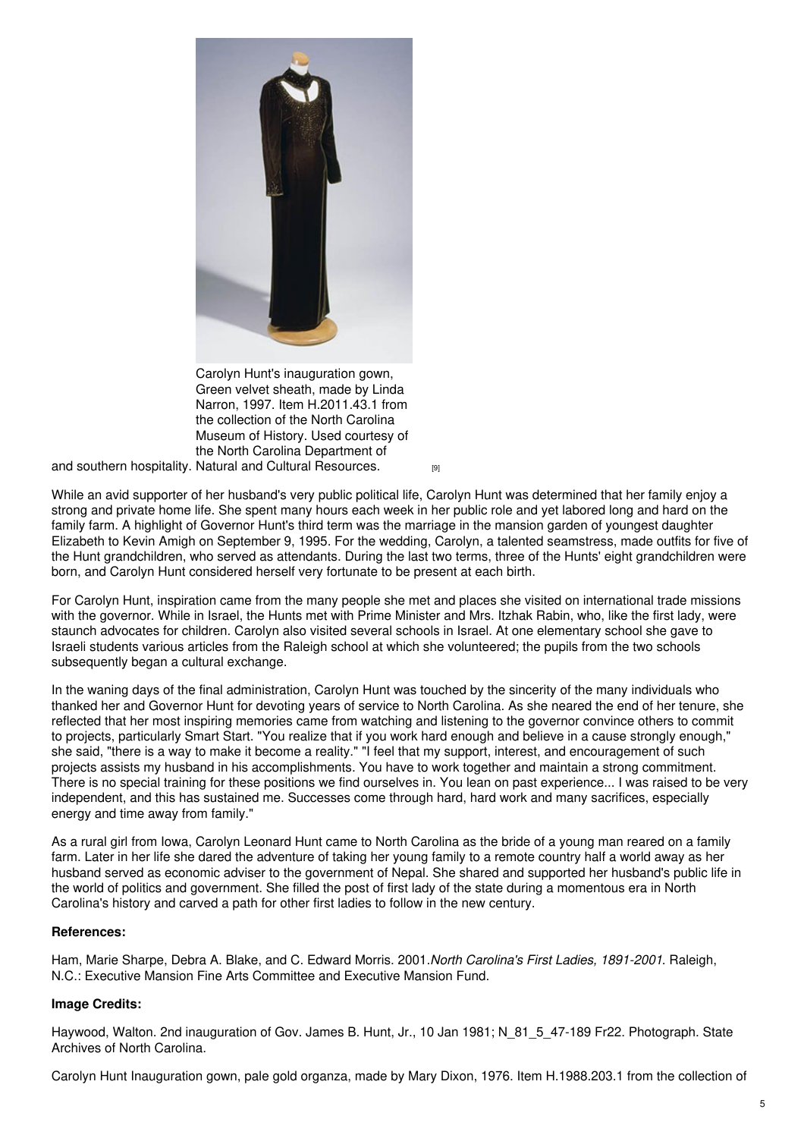

Carolyn Hunt's inauguration gown, Green velvet sheath, made by Linda Narron, 1997. Item H.2011.43.1 from the collection of the North Carolina Museum of History. Used courtesy of the North Carolina Department of

and southern hospitality. Natural and Cultural [Resources.](http://collections.ncdcr.gov/RediscoveryProficioPublicSearch/ShowItem.aspx?185524+)  $\qquad \qquad \qquad \text{{\tiny \text{[9]}}}$ 

While an avid supporter of her husband's very public political life, Carolyn Hunt was determined that her family enjoy a strong and private home life. She spent many hours each week in her public role and yet labored long and hard on the family farm. A highlight of Governor Hunt's third term was the marriage in the mansion garden of youngest daughter Elizabeth to Kevin Amigh on September 9, 1995. For the wedding, Carolyn, a talented seamstress, made outfits for five of the Hunt grandchildren, who served as attendants. During the last two terms, three of the Hunts' eight grandchildren were born, and Carolyn Hunt considered herself very fortunate to be present at each birth.

For Carolyn Hunt, inspiration came from the many people she met and places she visited on international trade missions with the governor. While in Israel, the Hunts met with Prime Minister and Mrs. Itzhak Rabin, who, like the first lady, were staunch advocates for children. Carolyn also visited several schools in Israel. At one elementary school she gave to Israeli students various articles from the Raleigh school at which she volunteered; the pupils from the two schools subsequently began a cultural exchange.

In the waning days of the final administration, Carolyn Hunt was touched by the sincerity of the many individuals who thanked her and Governor Hunt for devoting years of service to North Carolina. As she neared the end of her tenure, she reflected that her most inspiring memories came from watching and listening to the governor convince others to commit to projects, particularly Smart Start. "You realize that if you work hard enough and believe in a cause strongly enough," she said, "there is a way to make it become a reality." "I feel that my support, interest, and encouragement of such projects assists my husband in his accomplishments. You have to work together and maintain a strong commitment. There is no special training for these positions we find ourselves in. You lean on past experience... I was raised to be very independent, and this has sustained me. Successes come through hard, hard work and many sacrifices, especially energy and time away from family."

As a rural girl from Iowa, Carolyn Leonard Hunt came to North Carolina as the bride of a young man reared on a family farm. Later in her life she dared the adventure of taking her young family to a remote country half a world away as her husband served as economic adviser to the government of Nepal. She shared and supported her husband's public life in the world of politics and government. She filled the post of first lady of the state during a momentous era in North Carolina's history and carved a path for other first ladies to follow in the new century.

### **References:**

Ham, Marie Sharpe, Debra A. Blake, and C. Edward Morris. 2001.*North Carolina's First Ladies, 1891-2001*. Raleigh, N.C.: Executive Mansion Fine Arts Committee and Executive Mansion Fund.

### **Image Credits:**

Haywood, Walton, 2nd inauguration of Gov. James B. Hunt, Jr., 10 Jan 1981; N 81 5 47-189 Fr22. Photograph. State Archives of North Carolina.

Carolyn Hunt Inauguration gown, pale gold organza, made by Mary Dixon, 1976. Item H.1988.203.1 from the collection of